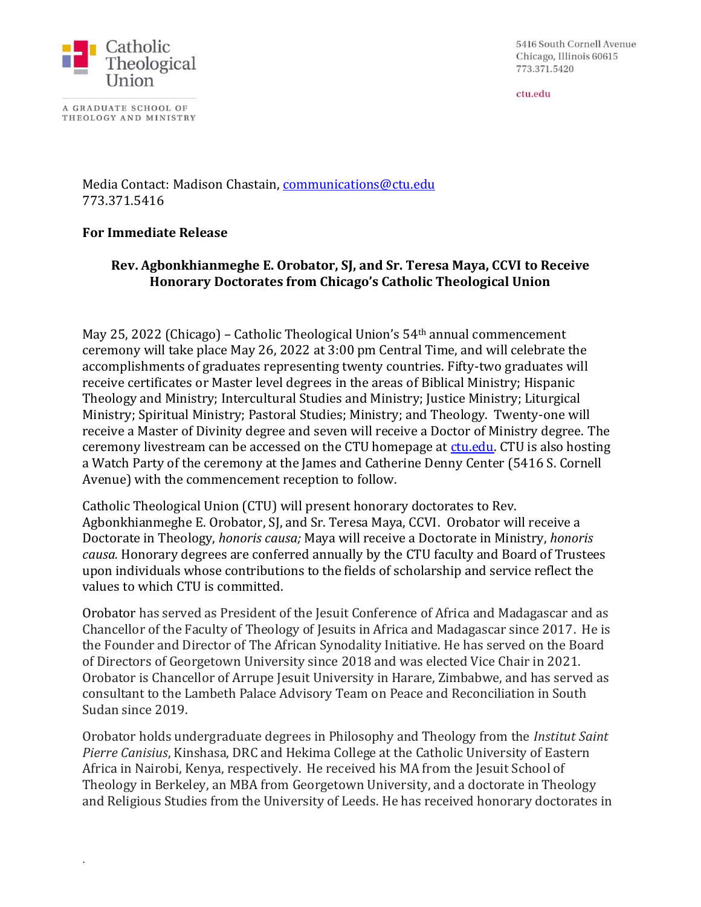

A GRADUATE SCHOOL OF THEOLOGY AND MINISTRY

.

5416 South Cornell Avenue Chicago, Illinois 60615 773.371.5420

ctu.edu

Media Contact: Madison Chastain, [communications@ctu.edu](mailto:communications@ctu.edu) 773.371.5416

## **For Immediate Release**

## **Rev. Agbonkhianmeghe E. Orobator, SJ, and Sr. Teresa Maya, CCVI to Receive Honorary Doctorates from Chicago's Catholic Theological Union**

May 25, 2022 (Chicago) – Catholic Theological Union's 54th annual commencement ceremony will take place May 26, 2022 at 3:00 pm Central Time, and will celebrate the accomplishments of graduates representing twenty countries. Fifty-two graduates will receive certificates or Master level degrees in the areas of Biblical Ministry; Hispanic Theology and Ministry; Intercultural Studies and Ministry; Justice Ministry; Liturgical Ministry; Spiritual Ministry; Pastoral Studies; Ministry; and Theology. Twenty-one will receive a Master of Divinity degree and seven will receive a Doctor of Ministry degree. The ceremony livestream can be accessed on the CTU homepage at [ctu.edu.](https://ctu.edu/) CTU is also hosting a Watch Party of the ceremony at the James and Catherine Denny Center (5416 S. Cornell Avenue) with the commencement reception to follow.

Catholic Theological Union (CTU) will present honorary doctorates to Rev. Agbonkhianmeghe E. Orobator, SJ, and Sr. Teresa Maya, CCVI. Orobator will receive a Doctorate in Theology, *honoris causa;* Maya will receive a Doctorate in Ministry, *honoris causa.* Honorary degrees are conferred annually by the CTU faculty and Board of Trustees upon individuals whose contributions to the fields of scholarship and service reflect the values to which CTU is committed.

Orobator has served as President of the Jesuit Conference of Africa and Madagascar and as Chancellor of the Faculty of Theology of Jesuits in Africa and Madagascar since 2017. He is the Founder and Director of The African Synodality Initiative. He has served on the Board of Directors of Georgetown University since 2018 and was elected Vice Chair in 2021. Orobator is Chancellor of Arrupe Jesuit University in Harare, Zimbabwe, and has served as consultant to the Lambeth Palace Advisory Team on Peace and Reconciliation in South Sudan since 2019.

Orobator holds undergraduate degrees in Philosophy and Theology from the *Institut Saint Pierre Canisius*, Kinshasa, DRC and Hekima College at the Catholic University of Eastern Africa in Nairobi, Kenya, respectively. He received his MA from the Jesuit School of Theology in Berkeley, an MBA from Georgetown University, and a doctorate in Theology and Religious Studies from the University of Leeds. He has received honorary doctorates in